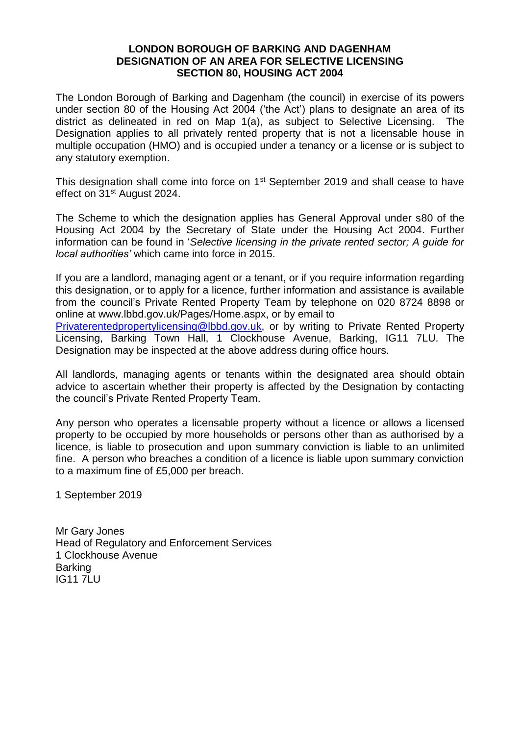## **LONDON BOROUGH OF BARKING AND DAGENHAM DESIGNATION OF AN AREA FOR SELECTIVE LICENSING SECTION 80, HOUSING ACT 2004**

The London Borough of Barking and Dagenham (the council) in exercise of its powers under section 80 of the Housing Act 2004 ('the Act') plans to designate an area of its district as delineated in red on Map 1(a), as subject to Selective Licensing. The Designation applies to all privately rented property that is not a licensable house in multiple occupation (HMO) and is occupied under a tenancy or a license or is subject to any statutory exemption.

This designation shall come into force on 1<sup>st</sup> September 2019 and shall cease to have effect on 31st August 2024.

The Scheme to which the designation applies has General Approval under s80 of the Housing Act 2004 by the Secretary of State under the Housing Act 2004. Further information can be found in '*Selective licensing in the private rented sector; A guide for local authorities'* which came into force in 2015.

If you are a landlord, managing agent or a tenant, or if you require information regarding this designation, or to apply for a licence, further information and assistance is available from the council's Private Rented Property Team by telephone on 020 8724 8898 or online at www.lbbd.gov.uk/Pages/Home.aspx, or by email to

[Privaterentedpropertylicensing@lbbd.gov.uk,](mailto:Privaterentedpropertylicensing@lbbd.gov.uk) or by writing to Private Rented Property Licensing, Barking Town Hall, 1 Clockhouse Avenue, Barking, IG11 7LU. The Designation may be inspected at the above address during office hours.

All landlords, managing agents or tenants within the designated area should obtain advice to ascertain whether their property is affected by the Designation by contacting the council's Private Rented Property Team.

Any person who operates a licensable property without a licence or allows a licensed property to be occupied by more households or persons other than as authorised by a licence, is liable to prosecution and upon summary conviction is liable to an unlimited fine. A person who breaches a condition of a licence is liable upon summary conviction to a maximum fine of £5,000 per breach.

1 September 2019

Mr Gary Jones Head of Regulatory and Enforcement Services 1 Clockhouse Avenue Barking IG11 7LU